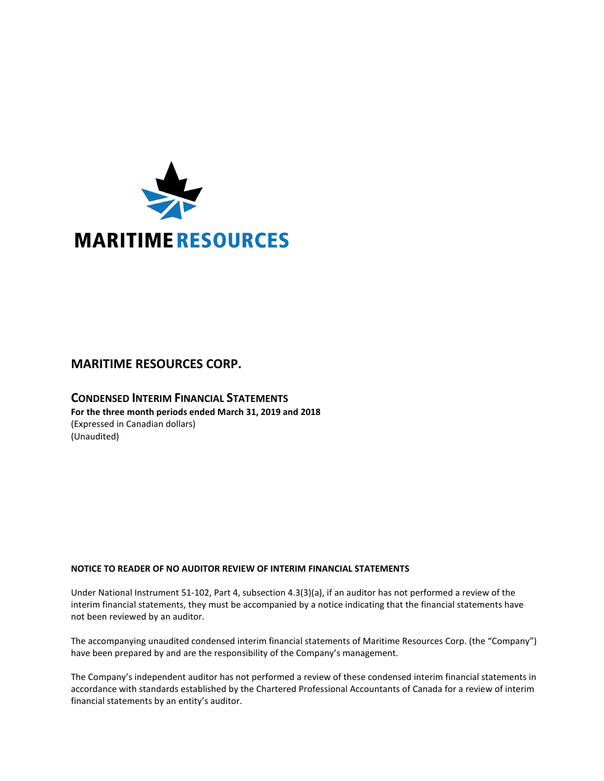

# **MARITIME RESOURCES CORP.**

# **CONDENSED INTERIM FINANCIAL STATEMENTS For the three month periods ended March 31, 2019 and 2018** (Expressed in Canadian dollars) (Unaudited)

# **NOTICE TO READER OF NO AUDITOR REVIEW OF INTERIM FINANCIAL STATEMENTS**

Under National Instrument 51-102, Part 4, subsection 4.3(3)(a), if an auditor has not performed a review of the interim financial statements, they must be accompanied by a notice indicating that the financial statements have not been reviewed by an auditor.

The accompanying unaudited condensed interim financial statements of Maritime Resources Corp. (the "Company") have been prepared by and are the responsibility of the Company's management.

The Company's independent auditor has not performed a review of these condensed interim financial statements in accordance with standards established by the Chartered Professional Accountants of Canada for a review of interim financial statements by an entity's auditor.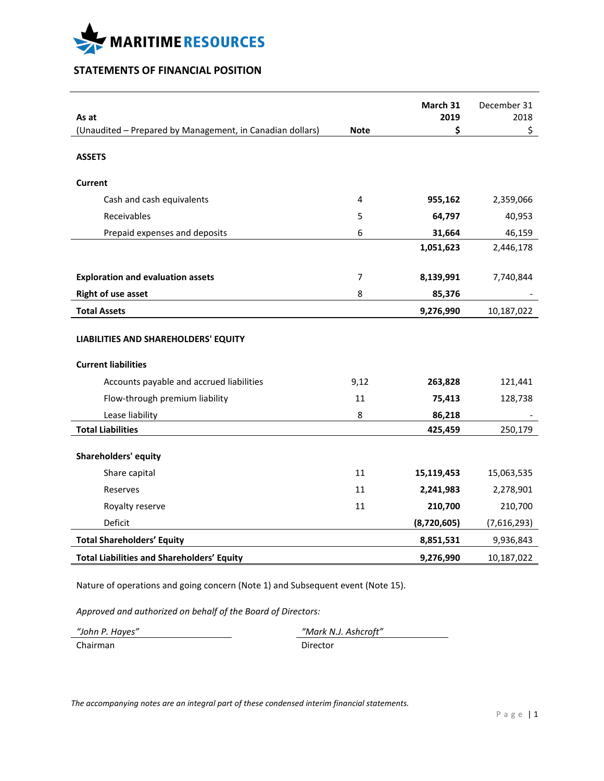

# **STATEMENTS OF FINANCIAL POSITION**

| As at                                                              |                | March 31<br>2019 | December 31<br>2018 |
|--------------------------------------------------------------------|----------------|------------------|---------------------|
| (Unaudited - Prepared by Management, in Canadian dollars)          | <b>Note</b>    | \$               | \$                  |
| <b>ASSETS</b>                                                      |                |                  |                     |
| <b>Current</b>                                                     |                |                  |                     |
| Cash and cash equivalents                                          | 4              | 955,162          | 2,359,066           |
| Receivables                                                        | 5              | 64,797           | 40,953              |
| Prepaid expenses and deposits                                      | 6              | 31,664           | 46,159              |
|                                                                    |                | 1,051,623        | 2,446,178           |
| <b>Exploration and evaluation assets</b>                           | $\overline{7}$ | 8,139,991        | 7,740,844           |
| <b>Right of use asset</b>                                          | 8              | 85,376           |                     |
| <b>Total Assets</b>                                                |                | 9,276,990        | 10,187,022          |
| LIABILITIES AND SHAREHOLDERS' EQUITY<br><b>Current liabilities</b> |                |                  |                     |
| Accounts payable and accrued liabilities                           | 9,12           | 263,828          | 121,441             |
| Flow-through premium liability                                     | 11             | 75,413           | 128,738             |
| Lease liability                                                    | 8              | 86,218           |                     |
| <b>Total Liabilities</b>                                           |                | 425,459          | 250,179             |
| <b>Shareholders' equity</b>                                        |                |                  |                     |
| Share capital                                                      | 11             | 15,119,453       | 15,063,535          |
| Reserves                                                           | 11             | 2,241,983        | 2,278,901           |
| Royalty reserve                                                    | 11             | 210,700          | 210,700             |
| Deficit                                                            |                | (8,720,605)      | (7,616,293)         |
| <b>Total Shareholders' Equity</b>                                  |                | 8,851,531        | 9,936,843           |
| <b>Total Liabilities and Shareholders' Equity</b>                  |                | 9,276,990        | 10,187,022          |

Nature of operations and going concern (Note 1) and Subsequent event (Note 15).

*Approved and authorized on behalf of the Board of Directors:*

*"John P. Hayes" "Mark N.J. Ashcroft"* Chairman Director

*The accompanying notes are an integral part of these condensed interim financial statements.*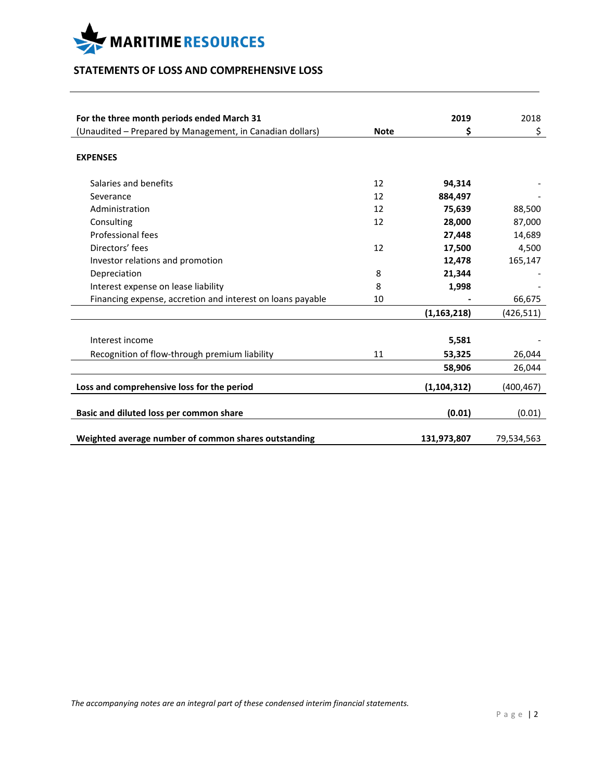

# **STATEMENTS OF LOSS AND COMPREHENSIVE LOSS**

| For the three month periods ended March 31                 |             | 2019          | 2018       |
|------------------------------------------------------------|-------------|---------------|------------|
| (Unaudited - Prepared by Management, in Canadian dollars)  | <b>Note</b> | \$            | \$         |
|                                                            |             |               |            |
| <b>EXPENSES</b>                                            |             |               |            |
|                                                            |             |               |            |
| Salaries and benefits                                      | 12          | 94,314        |            |
| Severance                                                  | 12          | 884.497       |            |
| Administration                                             | 12          | 75,639        | 88,500     |
| Consulting                                                 | 12          | 28,000        | 87,000     |
| Professional fees                                          |             | 27,448        | 14,689     |
| Directors' fees                                            | 12          | 17,500        | 4,500      |
| Investor relations and promotion                           |             | 12,478        | 165,147    |
| Depreciation                                               | 8           | 21,344        |            |
| Interest expense on lease liability                        | 8           | 1,998         |            |
| Financing expense, accretion and interest on loans payable | 10          |               | 66,675     |
|                                                            |             | (1, 163, 218) | (426, 511) |
|                                                            |             |               |            |
| Interest income                                            |             | 5,581         |            |
| Recognition of flow-through premium liability              | 11          | 53,325        | 26,044     |
|                                                            |             | 58,906        | 26,044     |
| Loss and comprehensive loss for the period                 |             | (1, 104, 312) | (400, 467) |
|                                                            |             |               |            |
| Basic and diluted loss per common share                    |             | (0.01)        | (0.01)     |
| Weighted average number of common shares outstanding       |             | 131,973,807   | 79,534,563 |

*The accompanying notes are an integral part of these condensed interim financial statements.*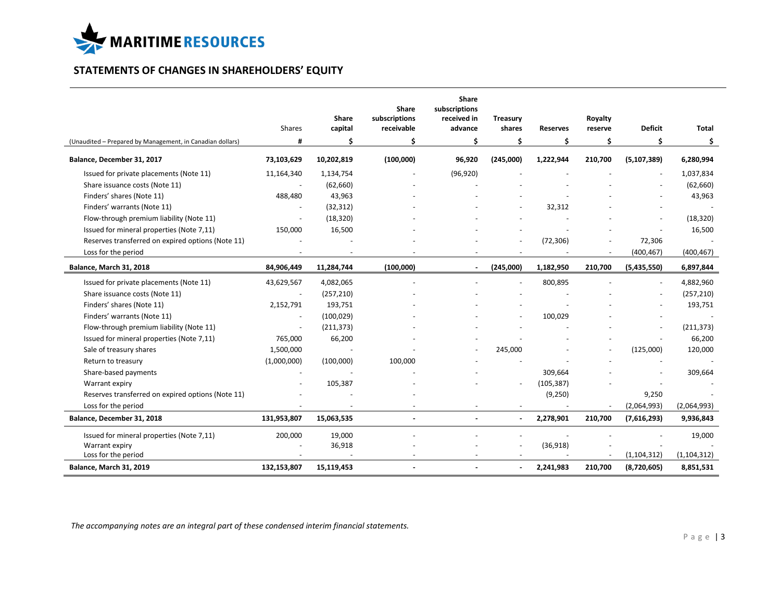

# **STATEMENTS OF CHANGES IN SHAREHOLDERS' EQUITY**

|                                                           | Shares                   | <b>Share</b><br>capital | Share<br>subscriptions<br>receivable | Share<br>subscriptions<br>received in<br>advance | <b>Treasury</b><br>shares | <b>Reserves</b> | Royalty<br>reserve       | <b>Deficit</b> | <b>Total</b>  |
|-----------------------------------------------------------|--------------------------|-------------------------|--------------------------------------|--------------------------------------------------|---------------------------|-----------------|--------------------------|----------------|---------------|
| (Unaudited - Prepared by Management, in Canadian dollars) | #                        | Ś                       | Ś                                    | Ś                                                | Ś                         | Ś               | Ś                        | Ś              | \$            |
| Balance, December 31, 2017                                | 73,103,629               | 10,202,819              | (100,000)                            | 96,920                                           | (245,000)                 | 1,222,944       | 210,700                  | (5, 107, 389)  | 6,280,994     |
| Issued for private placements (Note 11)                   | 11,164,340               | 1,134,754               |                                      | (96, 920)                                        |                           |                 |                          |                | 1,037,834     |
| Share issuance costs (Note 11)                            | $\overline{\phantom{a}}$ | (62, 660)               |                                      |                                                  |                           |                 |                          |                | (62, 660)     |
| Finders' shares (Note 11)                                 | 488,480                  | 43,963                  |                                      |                                                  |                           |                 |                          |                | 43,963        |
| Finders' warrants (Note 11)                               |                          | (32, 312)               |                                      |                                                  |                           | 32,312          |                          |                |               |
| Flow-through premium liability (Note 11)                  | $\overline{\phantom{a}}$ | (18, 320)               |                                      |                                                  |                           |                 |                          |                | (18, 320)     |
| Issued for mineral properties (Note 7,11)                 | 150,000                  | 16,500                  |                                      |                                                  |                           |                 |                          |                | 16,500        |
| Reserves transferred on expired options (Note 11)         |                          |                         |                                      |                                                  |                           | (72, 306)       |                          | 72,306         |               |
| Loss for the period                                       |                          |                         |                                      |                                                  |                           |                 | $\overline{\phantom{a}}$ | (400, 467)     | (400, 467)    |
| Balance, March 31, 2018                                   | 84,906,449               | 11,284,744              | (100,000)                            |                                                  | (245,000)                 | 1,182,950       | 210,700                  | (5,435,550)    | 6,897,844     |
| Issued for private placements (Note 11)                   | 43,629,567               | 4,082,065               |                                      |                                                  |                           | 800,895         |                          |                | 4,882,960     |
| Share issuance costs (Note 11)                            |                          | (257, 210)              |                                      |                                                  |                           |                 |                          |                | (257, 210)    |
| Finders' shares (Note 11)                                 | 2,152,791                | 193,751                 |                                      |                                                  |                           |                 |                          |                | 193,751       |
| Finders' warrants (Note 11)                               | $\overline{\phantom{a}}$ | (100, 029)              |                                      |                                                  |                           | 100,029         |                          |                |               |
| Flow-through premium liability (Note 11)                  |                          | (211, 373)              |                                      |                                                  |                           |                 |                          |                | (211, 373)    |
| Issued for mineral properties (Note 7,11)                 | 765,000                  | 66,200                  |                                      |                                                  |                           |                 |                          |                | 66,200        |
| Sale of treasury shares                                   | 1,500,000                |                         |                                      |                                                  | 245,000                   |                 |                          | (125,000)      | 120,000       |
| Return to treasury                                        | (1,000,000)              | (100,000)               | 100,000                              |                                                  |                           |                 |                          |                |               |
| Share-based payments                                      |                          |                         |                                      |                                                  |                           | 309,664         |                          |                | 309,664       |
| Warrant expiry                                            |                          | 105,387                 |                                      |                                                  |                           | (105, 387)      |                          |                |               |
| Reserves transferred on expired options (Note 11)         |                          |                         |                                      |                                                  |                           | (9,250)         |                          | 9,250          |               |
| Loss for the period                                       |                          |                         |                                      |                                                  |                           |                 | $\overline{\phantom{a}}$ | (2,064,993)    | (2,064,993)   |
| Balance, December 31, 2018                                | 131,953,807              | 15,063,535              | ٠                                    |                                                  |                           | 2,278,901       | 210,700                  | (7,616,293)    | 9,936,843     |
| Issued for mineral properties (Note 7,11)                 | 200,000                  | 19,000                  |                                      |                                                  |                           |                 |                          |                | 19,000        |
| Warrant expiry                                            |                          | 36,918                  |                                      |                                                  |                           | (36, 918)       |                          |                |               |
| Loss for the period                                       |                          |                         |                                      |                                                  |                           |                 |                          | (1, 104, 312)  | (1, 104, 312) |
| <b>Balance, March 31, 2019</b>                            | 132,153,807              | 15,119,453              |                                      |                                                  |                           | 2,241,983       | 210,700                  | (8,720,605)    | 8,851,531     |

*The accompanying notes are an integral part of these condensed interim financial statements.*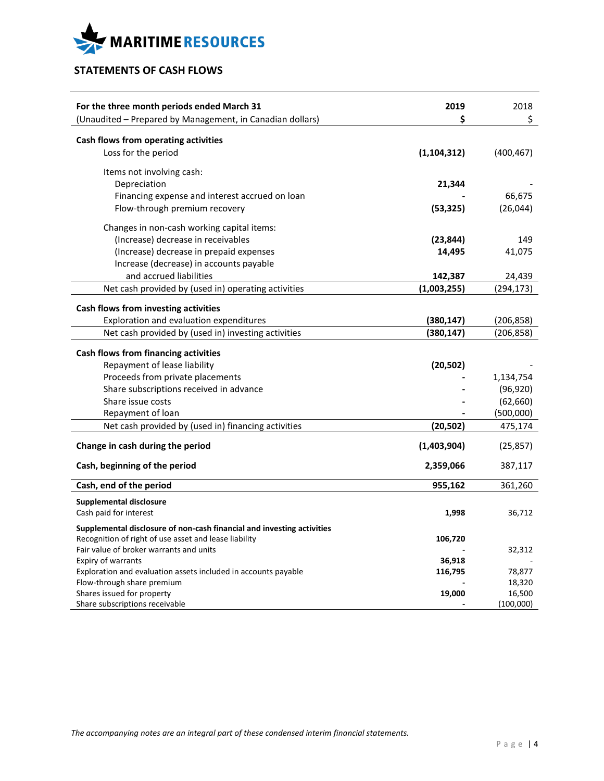

# **STATEMENTS OF CASH FLOWS**

| For the three month periods ended March 31                             | 2019          | 2018       |
|------------------------------------------------------------------------|---------------|------------|
| (Unaudited - Prepared by Management, in Canadian dollars)              | \$            | \$         |
| Cash flows from operating activities                                   |               |            |
| Loss for the period                                                    | (1, 104, 312) | (400, 467) |
|                                                                        |               |            |
| Items not involving cash:                                              |               |            |
| Depreciation                                                           | 21,344        |            |
| Financing expense and interest accrued on loan                         |               | 66,675     |
| Flow-through premium recovery                                          | (53, 325)     | (26, 044)  |
|                                                                        |               |            |
| Changes in non-cash working capital items:                             |               |            |
| (Increase) decrease in receivables                                     | (23, 844)     | 149        |
| (Increase) decrease in prepaid expenses                                | 14,495        | 41,075     |
| Increase (decrease) in accounts payable                                |               |            |
| and accrued liabilities                                                | 142,387       | 24,439     |
| Net cash provided by (used in) operating activities                    | (1,003,255)   | (294,173)  |
| Cash flows from investing activities                                   |               |            |
| Exploration and evaluation expenditures                                | (380, 147)    | (206, 858) |
|                                                                        | (380, 147)    |            |
| Net cash provided by (used in) investing activities                    |               | (206,858)  |
| Cash flows from financing activities                                   |               |            |
| Repayment of lease liability                                           | (20, 502)     |            |
| Proceeds from private placements                                       |               | 1,134,754  |
| Share subscriptions received in advance                                |               | (96, 920)  |
| Share issue costs                                                      |               | (62, 660)  |
| Repayment of loan                                                      |               | (500,000)  |
| Net cash provided by (used in) financing activities                    | (20, 502)     | 475,174    |
|                                                                        |               |            |
| Change in cash during the period                                       | (1,403,904)   | (25, 857)  |
|                                                                        |               |            |
| Cash, beginning of the period                                          | 2,359,066     | 387,117    |
| Cash, end of the period                                                | 955,162       | 361,260    |
| <b>Supplemental disclosure</b>                                         |               |            |
| Cash paid for interest                                                 | 1,998         | 36,712     |
| Supplemental disclosure of non-cash financial and investing activities |               |            |
| Recognition of right of use asset and lease liability                  | 106,720       |            |
| Fair value of broker warrants and units                                |               | 32,312     |
| Expiry of warrants                                                     | 36,918        |            |
| Exploration and evaluation assets included in accounts payable         | 116,795       | 78,877     |
| Flow-through share premium                                             |               | 18,320     |
| Shares issued for property                                             | 19,000        | 16,500     |
| Share subscriptions receivable                                         |               | (100,000)  |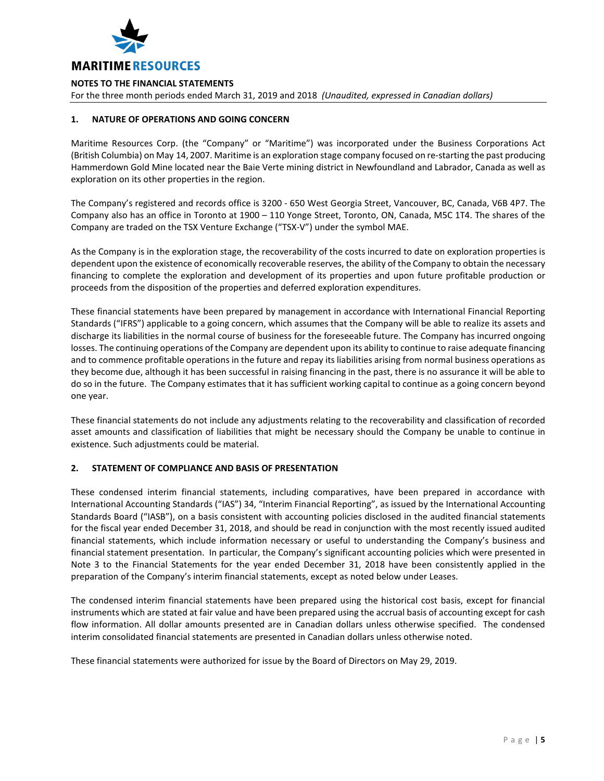

For the three month periods ended March 31, 2019 and 2018 *(Unaudited, expressed in Canadian dollars)*

# **1. NATURE OF OPERATIONS AND GOING CONCERN**

Maritime Resources Corp. (the "Company" or "Maritime") was incorporated under the Business Corporations Act (British Columbia) on May 14, 2007. Maritime is an exploration stage company focused on re-starting the past producing Hammerdown Gold Mine located near the Baie Verte mining district in Newfoundland and Labrador, Canada as well as exploration on its other properties in the region.

The Company's registered and records office is 3200 - 650 West Georgia Street, Vancouver, BC, Canada, V6B 4P7. The Company also has an office in Toronto at 1900 – 110 Yonge Street, Toronto, ON, Canada, M5C 1T4. The shares of the Company are traded on the TSX Venture Exchange ("TSX-V") under the symbol MAE.

As the Company is in the exploration stage, the recoverability of the costs incurred to date on exploration properties is dependent upon the existence of economically recoverable reserves, the ability of the Company to obtain the necessary financing to complete the exploration and development of its properties and upon future profitable production or proceeds from the disposition of the properties and deferred exploration expenditures.

These financial statements have been prepared by management in accordance with International Financial Reporting Standards ("IFRS") applicable to a going concern, which assumes that the Company will be able to realize its assets and discharge its liabilities in the normal course of business for the foreseeable future. The Company has incurred ongoing losses. The continuing operations of the Company are dependent upon its ability to continue to raise adequate financing and to commence profitable operations in the future and repay its liabilities arising from normal business operations as they become due, although it has been successful in raising financing in the past, there is no assurance it will be able to do so in the future. The Company estimates that it has sufficient working capital to continue as a going concern beyond one year.

These financial statements do not include any adjustments relating to the recoverability and classification of recorded asset amounts and classification of liabilities that might be necessary should the Company be unable to continue in existence. Such adjustments could be material.

# **2. STATEMENT OF COMPLIANCE AND BASIS OF PRESENTATION**

These condensed interim financial statements, including comparatives, have been prepared in accordance with International Accounting Standards ("IAS") 34, "Interim Financial Reporting", as issued by the International Accounting Standards Board ("IASB"), on a basis consistent with accounting policies disclosed in the audited financial statements for the fiscal year ended December 31, 2018, and should be read in conjunction with the most recently issued audited financial statements, which include information necessary or useful to understanding the Company's business and financial statement presentation. In particular, the Company's significant accounting policies which were presented in Note 3 to the Financial Statements for the year ended December 31, 2018 have been consistently applied in the preparation of the Company's interim financial statements, except as noted below under Leases.

The condensed interim financial statements have been prepared using the historical cost basis, except for financial instruments which are stated at fair value and have been prepared using the accrual basis of accounting except for cash flow information. All dollar amounts presented are in Canadian dollars unless otherwise specified. The condensed interim consolidated financial statements are presented in Canadian dollars unless otherwise noted.

These financial statements were authorized for issue by the Board of Directors on May 29, 2019.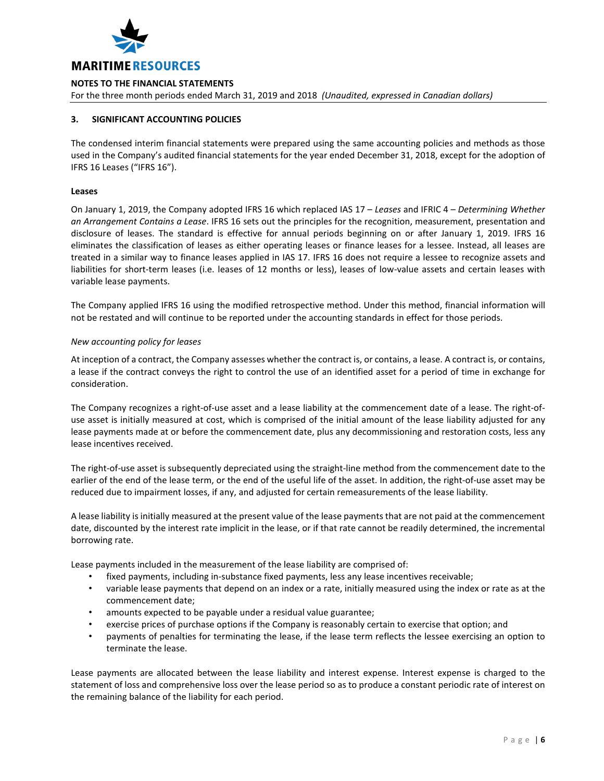

For the three month periods ended March 31, 2019 and 2018 *(Unaudited, expressed in Canadian dollars)*

# **3. SIGNIFICANT ACCOUNTING POLICIES**

The condensed interim financial statements were prepared using the same accounting policies and methods as those used in the Company's audited financial statements for the year ended December 31, 2018, except for the adoption of IFRS 16 Leases ("IFRS 16").

#### **Leases**

On January 1, 2019, the Company adopted IFRS 16 which replaced IAS 17 – *Leases* and IFRIC 4 – *Determining Whether an Arrangement Contains a Lease*. IFRS 16 sets out the principles for the recognition, measurement, presentation and disclosure of leases. The standard is effective for annual periods beginning on or after January 1, 2019. IFRS 16 eliminates the classification of leases as either operating leases or finance leases for a lessee. Instead, all leases are treated in a similar way to finance leases applied in IAS 17. IFRS 16 does not require a lessee to recognize assets and liabilities for short-term leases (i.e. leases of 12 months or less), leases of low-value assets and certain leases with variable lease payments.

The Company applied IFRS 16 using the modified retrospective method. Under this method, financial information will not be restated and will continue to be reported under the accounting standards in effect for those periods.

#### *New accounting policy for leases*

At inception of a contract, the Company assesses whether the contract is, or contains, a lease. A contract is, or contains, a lease if the contract conveys the right to control the use of an identified asset for a period of time in exchange for consideration.

The Company recognizes a right-of-use asset and a lease liability at the commencement date of a lease. The right-ofuse asset is initially measured at cost, which is comprised of the initial amount of the lease liability adjusted for any lease payments made at or before the commencement date, plus any decommissioning and restoration costs, less any lease incentives received.

The right-of-use asset is subsequently depreciated using the straight-line method from the commencement date to the earlier of the end of the lease term, or the end of the useful life of the asset. In addition, the right-of-use asset may be reduced due to impairment losses, if any, and adjusted for certain remeasurements of the lease liability.

A lease liability is initially measured at the present value of the lease payments that are not paid at the commencement date, discounted by the interest rate implicit in the lease, or if that rate cannot be readily determined, the incremental borrowing rate.

Lease payments included in the measurement of the lease liability are comprised of:

- fixed payments, including in-substance fixed payments, less any lease incentives receivable;
- variable lease payments that depend on an index or a rate, initially measured using the index or rate as at the commencement date;
- amounts expected to be payable under a residual value guarantee;
- exercise prices of purchase options if the Company is reasonably certain to exercise that option; and
- payments of penalties for terminating the lease, if the lease term reflects the lessee exercising an option to terminate the lease.

Lease payments are allocated between the lease liability and interest expense. Interest expense is charged to the statement of loss and comprehensive loss over the lease period so as to produce a constant periodic rate of interest on the remaining balance of the liability for each period.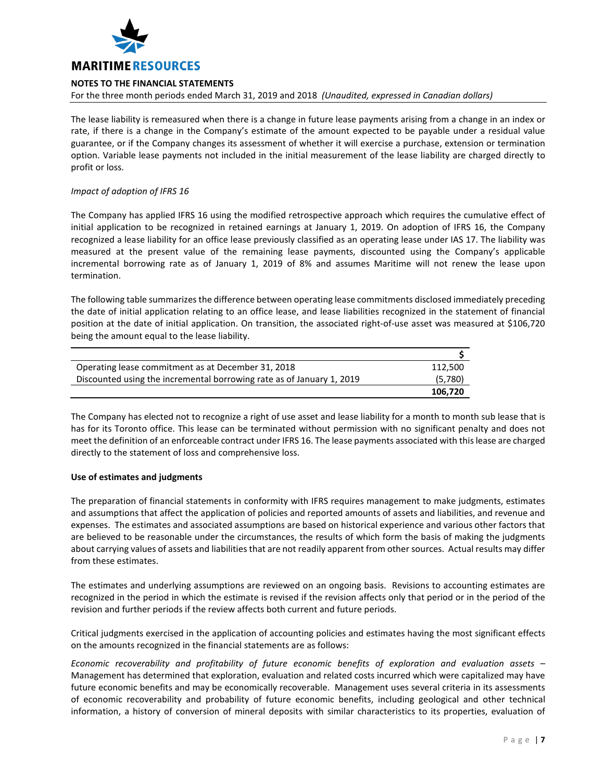

For the three month periods ended March 31, 2019 and 2018 *(Unaudited, expressed in Canadian dollars)*

The lease liability is remeasured when there is a change in future lease payments arising from a change in an index or rate, if there is a change in the Company's estimate of the amount expected to be payable under a residual value guarantee, or if the Company changes its assessment of whether it will exercise a purchase, extension or termination option. Variable lease payments not included in the initial measurement of the lease liability are charged directly to profit or loss.

## *Impact of adoption of IFRS 16*

The Company has applied IFRS 16 using the modified retrospective approach which requires the cumulative effect of initial application to be recognized in retained earnings at January 1, 2019. On adoption of IFRS 16, the Company recognized a lease liability for an office lease previously classified as an operating lease under IAS 17. The liability was measured at the present value of the remaining lease payments, discounted using the Company's applicable incremental borrowing rate as of January 1, 2019 of 8% and assumes Maritime will not renew the lease upon termination.

The following table summarizes the difference between operating lease commitments disclosed immediately preceding the date of initial application relating to an office lease, and lease liabilities recognized in the statement of financial position at the date of initial application. On transition, the associated right-of-use asset was measured at \$106,720 being the amount equal to the lease liability.

| Operating lease commitment as at December 31, 2018                    | 112.500 |
|-----------------------------------------------------------------------|---------|
| Discounted using the incremental borrowing rate as of January 1, 2019 | (5,780) |
|                                                                       | 106.720 |

The Company has elected not to recognize a right of use asset and lease liability for a month to month sub lease that is has for its Toronto office. This lease can be terminated without permission with no significant penalty and does not meet the definition of an enforceable contract under IFRS 16. The lease payments associated with this lease are charged directly to the statement of loss and comprehensive loss.

#### **Use of estimates and judgments**

The preparation of financial statements in conformity with IFRS requires management to make judgments, estimates and assumptions that affect the application of policies and reported amounts of assets and liabilities, and revenue and expenses. The estimates and associated assumptions are based on historical experience and various other factors that are believed to be reasonable under the circumstances, the results of which form the basis of making the judgments about carrying values of assets and liabilities that are not readily apparent from other sources. Actual results may differ from these estimates.

The estimates and underlying assumptions are reviewed on an ongoing basis. Revisions to accounting estimates are recognized in the period in which the estimate is revised if the revision affects only that period or in the period of the revision and further periods if the review affects both current and future periods.

Critical judgments exercised in the application of accounting policies and estimates having the most significant effects on the amounts recognized in the financial statements are as follows:

*Economic recoverability and profitability of future economic benefits of exploration and evaluation assets* – Management has determined that exploration, evaluation and related costs incurred which were capitalized may have future economic benefits and may be economically recoverable. Management uses several criteria in its assessments of economic recoverability and probability of future economic benefits, including geological and other technical information, a history of conversion of mineral deposits with similar characteristics to its properties, evaluation of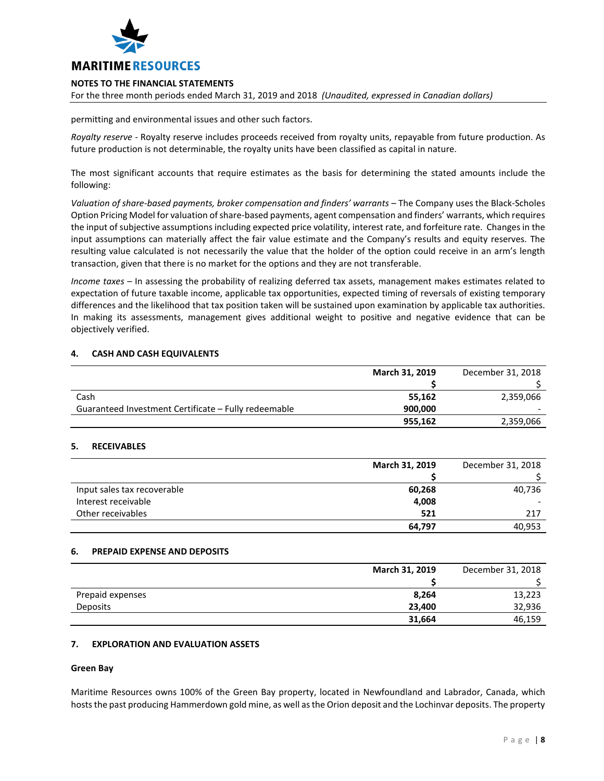

For the three month periods ended March 31, 2019 and 2018 *(Unaudited, expressed in Canadian dollars)*

permitting and environmental issues and other such factors.

*Royalty reserve* - Royalty reserve includes proceeds received from royalty units, repayable from future production. As future production is not determinable, the royalty units have been classified as capital in nature.

The most significant accounts that require estimates as the basis for determining the stated amounts include the following:

*Valuation of share-based payments, broker compensation and finders' warrants* – The Company uses the Black-Scholes Option Pricing Model for valuation of share-based payments, agent compensation and finders' warrants, which requires the input of subjective assumptions including expected price volatility, interest rate, and forfeiture rate. Changes in the input assumptions can materially affect the fair value estimate and the Company's results and equity reserves. The resulting value calculated is not necessarily the value that the holder of the option could receive in an arm's length transaction, given that there is no market for the options and they are not transferable.

*Income taxes* – In assessing the probability of realizing deferred tax assets, management makes estimates related to expectation of future taxable income, applicable tax opportunities, expected timing of reversals of existing temporary differences and the likelihood that tax position taken will be sustained upon examination by applicable tax authorities. In making its assessments, management gives additional weight to positive and negative evidence that can be objectively verified.

#### **4. CASH AND CASH EQUIVALENTS**

|                                                      | March 31, 2019 | December 31, 2018 |
|------------------------------------------------------|----------------|-------------------|
|                                                      |                |                   |
| Cash                                                 | 55,162         | 2,359,066         |
| Guaranteed Investment Certificate - Fully redeemable | 900.000        |                   |
|                                                      | 955,162        | 2,359,066         |

# **5. RECEIVABLES**

|                             | March 31, 2019 | December 31, 2018 |
|-----------------------------|----------------|-------------------|
|                             |                |                   |
| Input sales tax recoverable | 60,268         | 40,736            |
| Interest receivable         | 4,008          |                   |
| Other receivables           | 521            | 217               |
|                             | 64,797         | 40,953            |

#### **6. PREPAID EXPENSE AND DEPOSITS**

|                  | March 31, 2019 | December 31, 2018 |
|------------------|----------------|-------------------|
|                  |                |                   |
| Prepaid expenses | 8,264          | 13,223            |
| Deposits         | 23,400         | 32,936            |
|                  | 31,664         | 46,159            |

#### **7. EXPLORATION AND EVALUATION ASSETS**

#### **Green Bay**

Maritime Resources owns 100% of the Green Bay property, located in Newfoundland and Labrador, Canada, which hosts the past producing Hammerdown gold mine, as well as the Orion deposit and the Lochinvar deposits. The property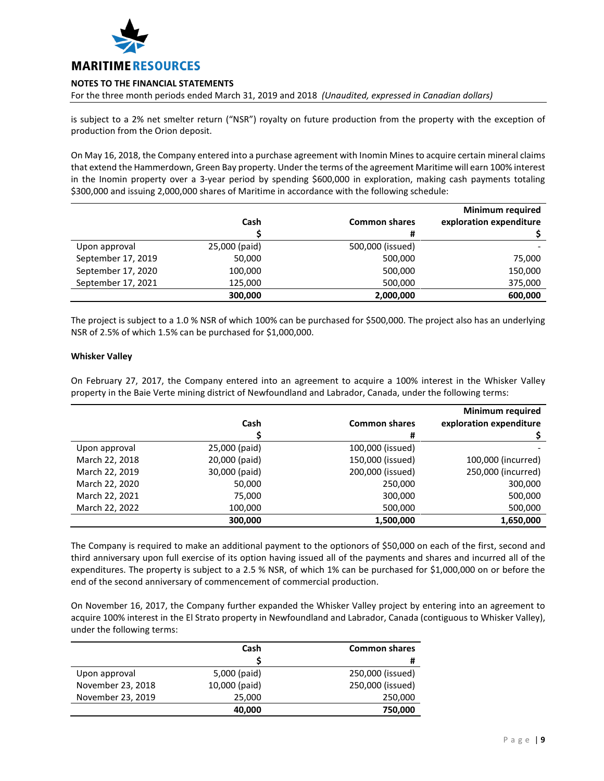

For the three month periods ended March 31, 2019 and 2018 *(Unaudited, expressed in Canadian dollars)*

is subject to a 2% net smelter return ("NSR") royalty on future production from the property with the exception of production from the Orion deposit.

On May 16, 2018, the Company entered into a purchase agreement with Inomin Mines to acquire certain mineral claims that extend the Hammerdown, Green Bay property. Under the terms of the agreement Maritime will earn 100% interest in the Inomin property over a 3-year period by spending \$600,000 in exploration, making cash payments totaling \$300,000 and issuing 2,000,000 shares of Maritime in accordance with the following schedule:

|                    | Cash          | <b>Common shares</b> | <b>Minimum required</b><br>exploration expenditure |
|--------------------|---------------|----------------------|----------------------------------------------------|
|                    |               | #                    |                                                    |
| Upon approval      | 25,000 (paid) | 500,000 (issued)     |                                                    |
| September 17, 2019 | 50,000        | 500,000              | 75,000                                             |
| September 17, 2020 | 100,000       | 500,000              | 150,000                                            |
| September 17, 2021 | 125,000       | 500,000              | 375,000                                            |
|                    | 300,000       | 2,000,000            | 600,000                                            |

The project is subject to a 1.0 % NSR of which 100% can be purchased for \$500,000. The project also has an underlying NSR of 2.5% of which 1.5% can be purchased for \$1,000,000.

#### **Whisker Valley**

On February 27, 2017, the Company entered into an agreement to acquire a 100% interest in the Whisker Valley property in the Baie Verte mining district of Newfoundland and Labrador, Canada, under the following terms:

|                |               |                      | <b>Minimum required</b> |
|----------------|---------------|----------------------|-------------------------|
|                | Cash          | <b>Common shares</b> | exploration expenditure |
|                |               | #                    |                         |
| Upon approval  | 25,000 (paid) | 100,000 (issued)     |                         |
| March 22, 2018 | 20,000 (paid) | 150,000 (issued)     | 100,000 (incurred)      |
| March 22, 2019 | 30,000 (paid) | 200,000 (issued)     | 250,000 (incurred)      |
| March 22, 2020 | 50,000        | 250,000              | 300,000                 |
| March 22, 2021 | 75,000        | 300,000              | 500,000                 |
| March 22, 2022 | 100,000       | 500,000              | 500,000                 |
|                | 300,000       | 1,500,000            | 1,650,000               |

The Company is required to make an additional payment to the optionors of \$50,000 on each of the first, second and third anniversary upon full exercise of its option having issued all of the payments and shares and incurred all of the expenditures. The property is subject to a 2.5 % NSR, of which 1% can be purchased for \$1,000,000 on or before the end of the second anniversary of commencement of commercial production.

On November 16, 2017, the Company further expanded the Whisker Valley project by entering into an agreement to acquire 100% interest in the El Strato property in Newfoundland and Labrador, Canada (contiguous to Whisker Valley), under the following terms:

|                   | Cash          | <b>Common shares</b> |
|-------------------|---------------|----------------------|
|                   |               | #                    |
| Upon approval     | 5,000 (paid)  | 250,000 (issued)     |
| November 23, 2018 | 10,000 (paid) | 250,000 (issued)     |
| November 23, 2019 | 25,000        | 250,000              |
|                   | 40,000        | 750,000              |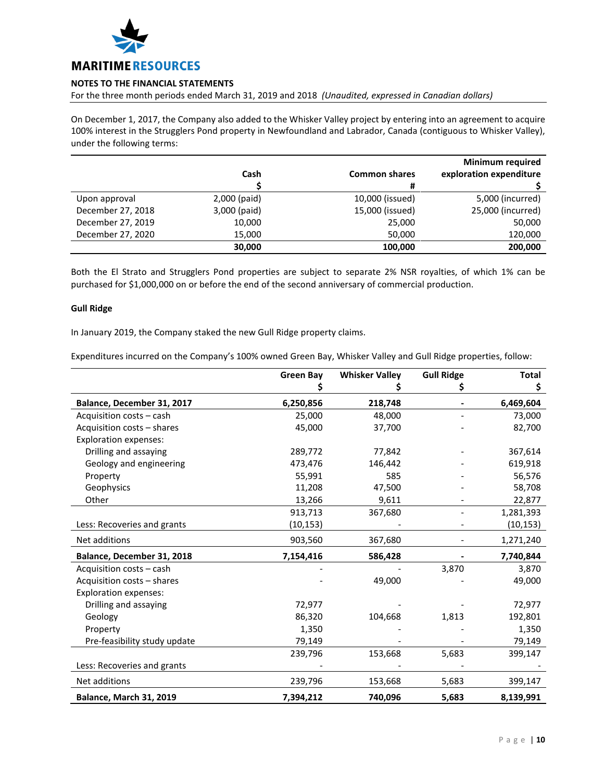

For the three month periods ended March 31, 2019 and 2018 *(Unaudited, expressed in Canadian dollars)*

On December 1, 2017, the Company also added to the Whisker Valley project by entering into an agreement to acquire 100% interest in the Strugglers Pond property in Newfoundland and Labrador, Canada (contiguous to Whisker Valley), under the following terms:

|                   |              |                      | <b>Minimum required</b> |
|-------------------|--------------|----------------------|-------------------------|
|                   | Cash         | <b>Common shares</b> | exploration expenditure |
|                   |              | #                    |                         |
| Upon approval     | 2,000 (paid) | 10,000 (issued)      | 5,000 (incurred)        |
| December 27, 2018 | 3,000 (paid) | 15,000 (issued)      | 25,000 (incurred)       |
| December 27, 2019 | 10,000       | 25,000               | 50,000                  |
| December 27, 2020 | 15,000       | 50,000               | 120,000                 |
|                   | 30,000       | 100,000              | 200,000                 |

Both the El Strato and Strugglers Pond properties are subject to separate 2% NSR royalties, of which 1% can be purchased for \$1,000,000 on or before the end of the second anniversary of commercial production.

#### **Gull Ridge**

In January 2019, the Company staked the new Gull Ridge property claims.

Expenditures incurred on the Company's 100% owned Green Bay, Whisker Valley and Gull Ridge properties, follow:

|                                | <b>Green Bay</b> | <b>Whisker Valley</b> | <b>Gull Ridge</b> | <b>Total</b> |
|--------------------------------|------------------|-----------------------|-------------------|--------------|
|                                |                  |                       | Ş                 | \$           |
| Balance, December 31, 2017     | 6,250,856        | 218,748               |                   | 6,469,604    |
| Acquisition costs - cash       | 25,000           | 48,000                |                   | 73,000       |
| Acquisition costs - shares     | 45,000           | 37,700                |                   | 82,700       |
| <b>Exploration expenses:</b>   |                  |                       |                   |              |
| Drilling and assaying          | 289,772          | 77,842                |                   | 367,614      |
| Geology and engineering        | 473,476          | 146,442               |                   | 619,918      |
| Property                       | 55,991           | 585                   |                   | 56,576       |
| Geophysics                     | 11,208           | 47,500                |                   | 58,708       |
| Other                          | 13,266           | 9,611                 |                   | 22,877       |
|                                | 913,713          | 367,680               |                   | 1,281,393    |
| Less: Recoveries and grants    | (10, 153)        |                       |                   | (10, 153)    |
| Net additions                  | 903,560          | 367,680               |                   | 1,271,240    |
| Balance, December 31, 2018     | 7,154,416        | 586,428               |                   | 7,740,844    |
| Acquisition costs - cash       |                  |                       | 3,870             | 3,870        |
| Acquisition costs - shares     |                  | 49,000                |                   | 49,000       |
| <b>Exploration expenses:</b>   |                  |                       |                   |              |
| Drilling and assaying          | 72,977           |                       |                   | 72,977       |
| Geology                        | 86,320           | 104,668               | 1,813             | 192,801      |
| Property                       | 1,350            |                       |                   | 1,350        |
| Pre-feasibility study update   | 79,149           |                       |                   | 79,149       |
|                                | 239,796          | 153,668               | 5,683             | 399,147      |
| Less: Recoveries and grants    |                  |                       |                   |              |
| Net additions                  | 239,796          | 153,668               | 5,683             | 399,147      |
| <b>Balance, March 31, 2019</b> | 7,394,212        | 740,096               | 5,683             | 8,139,991    |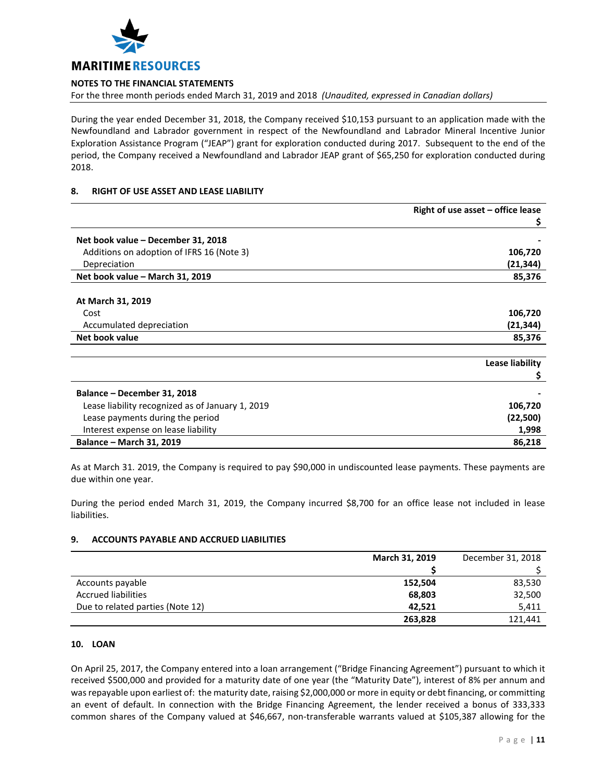

For the three month periods ended March 31, 2019 and 2018 *(Unaudited, expressed in Canadian dollars)*

During the year ended December 31, 2018, the Company received \$10,153 pursuant to an application made with the Newfoundland and Labrador government in respect of the Newfoundland and Labrador Mineral Incentive Junior Exploration Assistance Program ("JEAP") grant for exploration conducted during 2017. Subsequent to the end of the period, the Company received a Newfoundland and Labrador JEAP grant of \$65,250 for exploration conducted during 2018.

#### **8. RIGHT OF USE ASSET AND LEASE LIABILITY**

|                                                  | Right of use asset $-$ office lease |
|--------------------------------------------------|-------------------------------------|
|                                                  | Ş                                   |
| Net book value – December 31, 2018               |                                     |
| Additions on adoption of IFRS 16 (Note 3)        | 106,720                             |
| Depreciation                                     | (21,344)                            |
| Net book value - March 31, 2019                  | 85,376                              |
| At March 31, 2019                                |                                     |
| Cost                                             | 106,720                             |
| Accumulated depreciation                         | (21,344)                            |
| Net book value                                   | 85,376                              |
|                                                  | Lease liability                     |
|                                                  | Ş                                   |
| Balance - December 31, 2018                      |                                     |
| Lease liability recognized as of January 1, 2019 | 106,720                             |
| Lease payments during the period                 | (22,500)                            |
| Interest expense on lease liability              | 1,998                               |
| Balance - March 31, 2019                         | 86,218                              |

As at March 31. 2019, the Company is required to pay \$90,000 in undiscounted lease payments. These payments are due within one year.

During the period ended March 31, 2019, the Company incurred \$8,700 for an office lease not included in lease liabilities.

# **9. ACCOUNTS PAYABLE AND ACCRUED LIABILITIES**

|                                  | March 31, 2019 | December 31, 2018 |
|----------------------------------|----------------|-------------------|
|                                  |                |                   |
| Accounts payable                 | 152,504        | 83,530            |
| <b>Accrued liabilities</b>       | 68,803         | 32,500            |
| Due to related parties (Note 12) | 42.521         | 5,411             |
|                                  | 263,828        | 121,441           |

#### **10. LOAN**

On April 25, 2017, the Company entered into a loan arrangement ("Bridge Financing Agreement") pursuant to which it received \$500,000 and provided for a maturity date of one year (the "Maturity Date"), interest of 8% per annum and was repayable upon earliest of: the maturity date, raising \$2,000,000 or more in equity or debt financing, or committing an event of default. In connection with the Bridge Financing Agreement, the lender received a bonus of 333,333 common shares of the Company valued at \$46,667, non-transferable warrants valued at \$105,387 allowing for the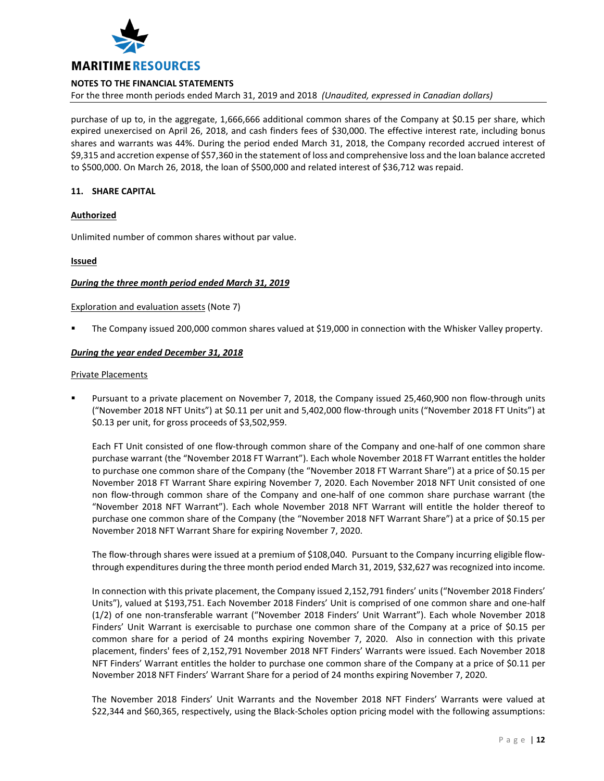

For the three month periods ended March 31, 2019 and 2018 *(Unaudited, expressed in Canadian dollars)*

purchase of up to, in the aggregate, 1,666,666 additional common shares of the Company at \$0.15 per share, which expired unexercised on April 26, 2018, and cash finders fees of \$30,000. The effective interest rate, including bonus shares and warrants was 44%. During the period ended March 31, 2018, the Company recorded accrued interest of \$9,315 and accretion expense of \$57,360 in the statement of loss and comprehensive loss and the loan balance accreted to \$500,000. On March 26, 2018, the loan of \$500,000 and related interest of \$36,712 was repaid.

## **11. SHARE CAPITAL**

#### **Authorized**

Unlimited number of common shares without par value.

#### **Issued**

#### *During the three month period ended March 31, 2019*

#### Exploration and evaluation assets (Note 7)

The Company issued 200,000 common shares valued at \$19,000 in connection with the Whisker Valley property.

#### *During the year ended December 31, 2018*

#### Private Placements

 Pursuant to a private placement on November 7, 2018, the Company issued 25,460,900 non flow-through units ("November 2018 NFT Units") at \$0.11 per unit and 5,402,000 flow-through units ("November 2018 FT Units") at \$0.13 per unit, for gross proceeds of \$3,502,959.

Each FT Unit consisted of one flow-through common share of the Company and one-half of one common share purchase warrant (the "November 2018 FT Warrant"). Each whole November 2018 FT Warrant entitles the holder to purchase one common share of the Company (the "November 2018 FT Warrant Share") at a price of \$0.15 per November 2018 FT Warrant Share expiring November 7, 2020. Each November 2018 NFT Unit consisted of one non flow-through common share of the Company and one-half of one common share purchase warrant (the "November 2018 NFT Warrant"). Each whole November 2018 NFT Warrant will entitle the holder thereof to purchase one common share of the Company (the "November 2018 NFT Warrant Share") at a price of \$0.15 per November 2018 NFT Warrant Share for expiring November 7, 2020.

The flow-through shares were issued at a premium of \$108,040. Pursuant to the Company incurring eligible flowthrough expenditures during the three month period ended March 31, 2019, \$32,627 was recognized into income.

In connection with this private placement, the Company issued 2,152,791 finders' units ("November 2018 Finders' Units"), valued at \$193,751. Each November 2018 Finders' Unit is comprised of one common share and one-half (1/2) of one non-transferable warrant ("November 2018 Finders' Unit Warrant"). Each whole November 2018 Finders' Unit Warrant is exercisable to purchase one common share of the Company at a price of \$0.15 per common share for a period of 24 months expiring November 7, 2020. Also in connection with this private placement, finders' fees of 2,152,791 November 2018 NFT Finders' Warrants were issued. Each November 2018 NFT Finders' Warrant entitles the holder to purchase one common share of the Company at a price of \$0.11 per November 2018 NFT Finders' Warrant Share for a period of 24 months expiring November 7, 2020.

The November 2018 Finders' Unit Warrants and the November 2018 NFT Finders' Warrants were valued at \$22,344 and \$60,365, respectively, using the Black-Scholes option pricing model with the following assumptions: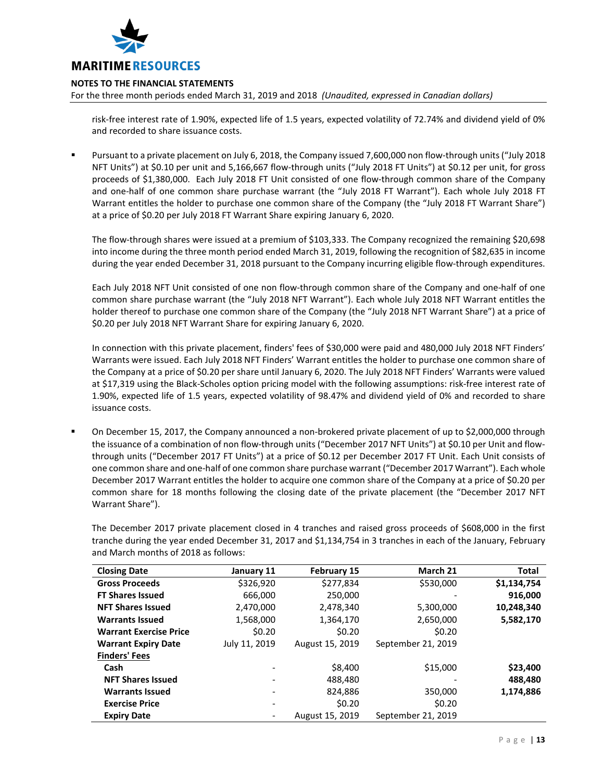

For the three month periods ended March 31, 2019 and 2018 *(Unaudited, expressed in Canadian dollars)*

risk-free interest rate of 1.90%, expected life of 1.5 years, expected volatility of 72.74% and dividend yield of 0% and recorded to share issuance costs.

 Pursuant to a private placement on July 6, 2018, the Company issued 7,600,000 non flow-through units ("July 2018 NFT Units") at \$0.10 per unit and 5,166,667 flow-through units ("July 2018 FT Units") at \$0.12 per unit, for gross proceeds of \$1,380,000. Each July 2018 FT Unit consisted of one flow-through common share of the Company and one-half of one common share purchase warrant (the "July 2018 FT Warrant"). Each whole July 2018 FT Warrant entitles the holder to purchase one common share of the Company (the "July 2018 FT Warrant Share") at a price of \$0.20 per July 2018 FT Warrant Share expiring January 6, 2020.

The flow-through shares were issued at a premium of \$103,333. The Company recognized the remaining \$20,698 into income during the three month period ended March 31, 2019, following the recognition of \$82,635 in income during the year ended December 31, 2018 pursuant to the Company incurring eligible flow-through expenditures.

Each July 2018 NFT Unit consisted of one non flow-through common share of the Company and one-half of one common share purchase warrant (the "July 2018 NFT Warrant"). Each whole July 2018 NFT Warrant entitles the holder thereof to purchase one common share of the Company (the "July 2018 NFT Warrant Share") at a price of \$0.20 per July 2018 NFT Warrant Share for expiring January 6, 2020.

In connection with this private placement, finders' fees of \$30,000 were paid and 480,000 July 2018 NFT Finders' Warrants were issued. Each July 2018 NFT Finders' Warrant entitles the holder to purchase one common share of the Company at a price of \$0.20 per share until January 6, 2020. The July 2018 NFT Finders' Warrants were valued at \$17,319 using the Black-Scholes option pricing model with the following assumptions: risk-free interest rate of 1.90%, expected life of 1.5 years, expected volatility of 98.47% and dividend yield of 0% and recorded to share issuance costs.

 On December 15, 2017, the Company announced a non-brokered private placement of up to \$2,000,000 through the issuance of a combination of non flow-through units ("December 2017 NFT Units") at \$0.10 per Unit and flowthrough units ("December 2017 FT Units") at a price of \$0.12 per December 2017 FT Unit. Each Unit consists of one common share and one-half of one common share purchase warrant ("December 2017 Warrant"). Each whole December 2017 Warrant entitles the holder to acquire one common share of the Company at a price of \$0.20 per common share for 18 months following the closing date of the private placement (the "December 2017 NFT Warrant Share").

The December 2017 private placement closed in 4 tranches and raised gross proceeds of \$608,000 in the first tranche during the year ended December 31, 2017 and \$1,134,754 in 3 tranches in each of the January, February and March months of 2018 as follows:

| <b>Closing Date</b>           | January 11    | <b>February 15</b> | March 21           | Total       |
|-------------------------------|---------------|--------------------|--------------------|-------------|
| <b>Gross Proceeds</b>         | \$326,920     | \$277,834          | \$530,000          | \$1,134,754 |
| <b>FT Shares Issued</b>       | 666.000       | 250,000            |                    | 916,000     |
| <b>NFT Shares Issued</b>      | 2,470,000     | 2,478,340          | 5,300,000          | 10,248,340  |
| <b>Warrants Issued</b>        | 1,568,000     | 1,364,170          | 2,650,000          | 5,582,170   |
| <b>Warrant Exercise Price</b> | \$0.20        | \$0.20             | \$0.20             |             |
| <b>Warrant Expiry Date</b>    | July 11, 2019 | August 15, 2019    | September 21, 2019 |             |
| <b>Finders' Fees</b>          |               |                    |                    |             |
| Cash                          |               | \$8,400            | \$15,000           | \$23,400    |
| <b>NFT Shares Issued</b>      |               | 488,480            |                    | 488,480     |
| <b>Warrants Issued</b>        |               | 824,886            | 350,000            | 1,174,886   |
| <b>Exercise Price</b>         |               | \$0.20             | \$0.20             |             |
| <b>Expiry Date</b>            |               | August 15, 2019    | September 21, 2019 |             |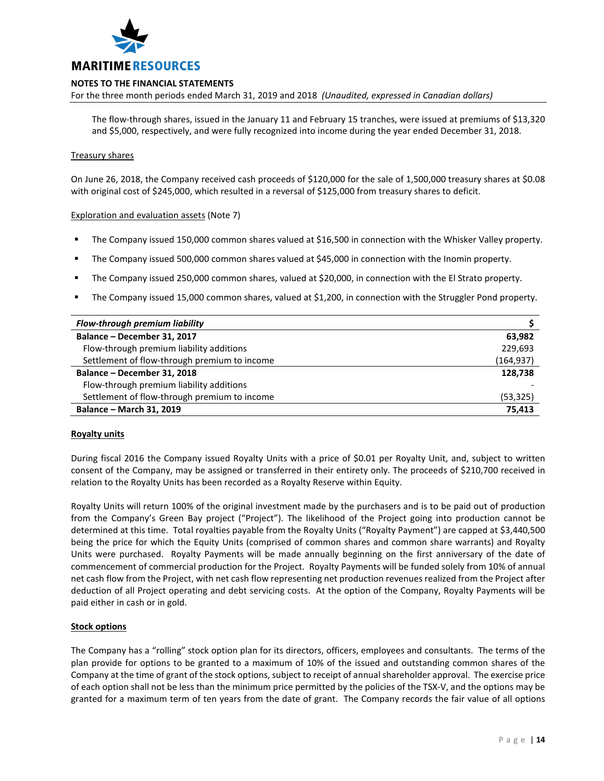

For the three month periods ended March 31, 2019 and 2018 *(Unaudited, expressed in Canadian dollars)*

The flow-through shares, issued in the January 11 and February 15 tranches, were issued at premiums of \$13,320 and \$5,000, respectively, and were fully recognized into income during the year ended December 31, 2018.

#### Treasury shares

On June 26, 2018, the Company received cash proceeds of \$120,000 for the sale of 1,500,000 treasury shares at \$0.08 with original cost of \$245,000, which resulted in a reversal of \$125,000 from treasury shares to deficit.

Exploration and evaluation assets (Note 7)

- The Company issued 150,000 common shares valued at \$16,500 in connection with the Whisker Valley property.
- The Company issued 500,000 common shares valued at \$45,000 in connection with the Inomin property.
- The Company issued 250,000 common shares, valued at \$20,000, in connection with the El Strato property.
- The Company issued 15,000 common shares, valued at \$1,200, in connection with the Struggler Pond property.

| Flow-through premium liability               |            |
|----------------------------------------------|------------|
| Balance - December 31, 2017                  | 63,982     |
| Flow-through premium liability additions     | 229.693    |
| Settlement of flow-through premium to income | (164, 937) |
| Balance - December 31, 2018                  | 128,738    |
| Flow-through premium liability additions     |            |
| Settlement of flow-through premium to income | (53, 325)  |
| <b>Balance - March 31, 2019</b>              | 75.413     |

# **Royalty units**

During fiscal 2016 the Company issued Royalty Units with a price of \$0.01 per Royalty Unit, and, subject to written consent of the Company, may be assigned or transferred in their entirety only. The proceeds of \$210,700 received in relation to the Royalty Units has been recorded as a Royalty Reserve within Equity.

Royalty Units will return 100% of the original investment made by the purchasers and is to be paid out of production from the Company's Green Bay project ("Project"). The likelihood of the Project going into production cannot be determined at this time. Total royalties payable from the Royalty Units ("Royalty Payment") are capped at \$3,440,500 being the price for which the Equity Units (comprised of common shares and common share warrants) and Royalty Units were purchased. Royalty Payments will be made annually beginning on the first anniversary of the date of commencement of commercial production for the Project. Royalty Payments will be funded solely from 10% of annual net cash flow from the Project, with net cash flow representing net production revenues realized from the Project after deduction of all Project operating and debt servicing costs. At the option of the Company, Royalty Payments will be paid either in cash or in gold.

# **Stock options**

The Company has a "rolling" stock option plan for its directors, officers, employees and consultants. The terms of the plan provide for options to be granted to a maximum of 10% of the issued and outstanding common shares of the Company at the time of grant of the stock options, subject to receipt of annual shareholder approval. The exercise price of each option shall not be less than the minimum price permitted by the policies of the TSX-V, and the options may be granted for a maximum term of ten years from the date of grant. The Company records the fair value of all options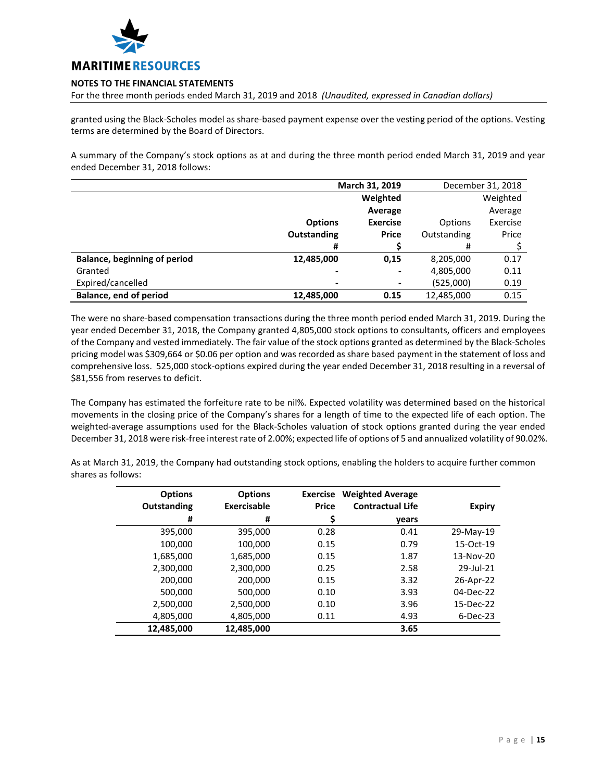

For the three month periods ended March 31, 2019 and 2018 *(Unaudited, expressed in Canadian dollars)*

granted using the Black-Scholes model as share-based payment expense over the vesting period of the options. Vesting terms are determined by the Board of Directors.

A summary of the Company's stock options as at and during the three month period ended March 31, 2019 and year ended December 31, 2018 follows:

|                                     | March 31, 2019 |                 | December 31, 2018 |          |
|-------------------------------------|----------------|-----------------|-------------------|----------|
|                                     |                | Weighted        |                   | Weighted |
|                                     |                | Average         |                   | Average  |
|                                     | <b>Options</b> | <b>Exercise</b> | Options           | Exercise |
|                                     | Outstanding    | <b>Price</b>    | Outstanding       | Price    |
|                                     | #              |                 | #                 |          |
| <b>Balance, beginning of period</b> | 12,485,000     | 0,15            | 8,205,000         | 0.17     |
| Granted                             | ٠              |                 | 4,805,000         | 0.11     |
| Expired/cancelled                   | -              | -               | (525,000)         | 0.19     |
| <b>Balance, end of period</b>       | 12,485,000     | 0.15            | 12,485,000        | 0.15     |

The were no share-based compensation transactions during the three month period ended March 31, 2019. During the year ended December 31, 2018, the Company granted 4,805,000 stock options to consultants, officers and employees of the Company and vested immediately. The fair value of the stock options granted as determined by the Black-Scholes pricing model was \$309,664 or \$0.06 per option and was recorded as share based payment in the statement of loss and comprehensive loss. 525,000 stock-options expired during the year ended December 31, 2018 resulting in a reversal of \$81,556 from reserves to deficit.

The Company has estimated the forfeiture rate to be nil%. Expected volatility was determined based on the historical movements in the closing price of the Company's shares for a length of time to the expected life of each option. The weighted-average assumptions used for the Black-Scholes valuation of stock options granted during the year ended December 31, 2018 were risk-free interest rate of 2.00%; expected life of options of 5 and annualized volatility of 90.02%.

As at March 31, 2019, the Company had outstanding stock options, enabling the holders to acquire further common shares as follows:

| <b>Options</b><br><b>Outstanding</b> | <b>Options</b><br>Exercisable | <b>Exercise</b><br><b>Price</b> | <b>Weighted Average</b><br><b>Contractual Life</b> | <b>Expiry</b> |
|--------------------------------------|-------------------------------|---------------------------------|----------------------------------------------------|---------------|
| #                                    | #                             | \$                              | vears                                              |               |
| 395,000                              | 395,000                       | 0.28                            | 0.41                                               | 29-May-19     |
| 100,000                              | 100,000                       | 0.15                            | 0.79                                               | 15-Oct-19     |
| 1,685,000                            | 1,685,000                     | 0.15                            | 1.87                                               | 13-Nov-20     |
| 2,300,000                            | 2,300,000                     | 0.25                            | 2.58                                               | 29-Jul-21     |
| 200,000                              | 200,000                       | 0.15                            | 3.32                                               | 26-Apr-22     |
| 500,000                              | 500,000                       | 0.10                            | 3.93                                               | 04-Dec-22     |
| 2,500,000                            | 2,500,000                     | 0.10                            | 3.96                                               | 15-Dec-22     |
| 4,805,000                            | 4,805,000                     | 0.11                            | 4.93                                               | 6-Dec-23      |
| 12,485,000                           | 12,485,000                    |                                 | 3.65                                               |               |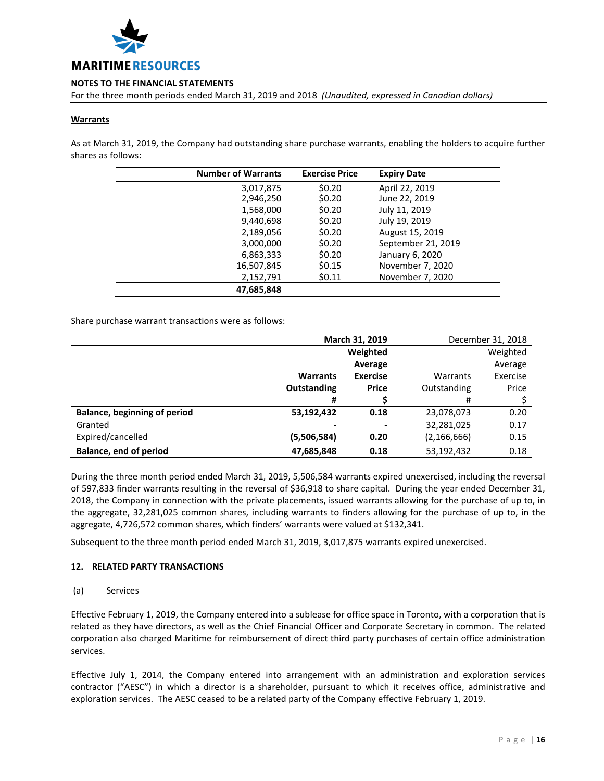

For the three month periods ended March 31, 2019 and 2018 *(Unaudited, expressed in Canadian dollars)*

## **Warrants**

As at March 31, 2019, the Company had outstanding share purchase warrants, enabling the holders to acquire further shares as follows:

| <b>Number of Warrants</b> | <b>Exercise Price</b> | <b>Expiry Date</b> |
|---------------------------|-----------------------|--------------------|
| 3,017,875                 | \$0.20                | April 22, 2019     |
| 2,946,250                 | \$0.20                | June 22, 2019      |
| 1,568,000                 | \$0.20                | July 11, 2019      |
| 9,440,698                 | \$0.20                | July 19, 2019      |
| 2,189,056                 | \$0.20                | August 15, 2019    |
| 3,000,000                 | \$0.20                | September 21, 2019 |
| 6,863,333                 | \$0.20                | January 6, 2020    |
| 16,507,845                | \$0.15                | November 7, 2020   |
| 2,152,791                 | \$0.11                | November 7, 2020   |
| 47,685,848                |                       |                    |

Share purchase warrant transactions were as follows:

|                                     | March 31, 2019     |                 | December 31, 2018 |          |
|-------------------------------------|--------------------|-----------------|-------------------|----------|
|                                     |                    | Weighted        |                   | Weighted |
|                                     |                    | Average         |                   | Average  |
|                                     | <b>Warrants</b>    | <b>Exercise</b> | Warrants          | Exercise |
|                                     | <b>Outstanding</b> | <b>Price</b>    | Outstanding       | Price    |
|                                     | #                  |                 | #                 |          |
| <b>Balance, beginning of period</b> | 53,192,432         | 0.18            | 23,078,073        | 0.20     |
| Granted                             |                    |                 | 32,281,025        | 0.17     |
| Expired/cancelled                   | (5,506,584)        | 0.20            | (2, 166, 666)     | 0.15     |
| <b>Balance, end of period</b>       | 47,685,848         | 0.18            | 53,192,432        | 0.18     |

During the three month period ended March 31, 2019, 5,506,584 warrants expired unexercised, including the reversal of 597,833 finder warrants resulting in the reversal of \$36,918 to share capital. During the year ended December 31, 2018, the Company in connection with the private placements, issued warrants allowing for the purchase of up to, in the aggregate, 32,281,025 common shares, including warrants to finders allowing for the purchase of up to, in the aggregate, 4,726,572 common shares, which finders' warrants were valued at \$132,341.

Subsequent to the three month period ended March 31, 2019, 3,017,875 warrants expired unexercised.

# **12. RELATED PARTY TRANSACTIONS**

#### (a) Services

Effective February 1, 2019, the Company entered into a sublease for office space in Toronto, with a corporation that is related as they have directors, as well as the Chief Financial Officer and Corporate Secretary in common. The related corporation also charged Maritime for reimbursement of direct third party purchases of certain office administration services.

Effective July 1, 2014, the Company entered into arrangement with an administration and exploration services contractor ("AESC") in which a director is a shareholder, pursuant to which it receives office, administrative and exploration services. The AESC ceased to be a related party of the Company effective February 1, 2019.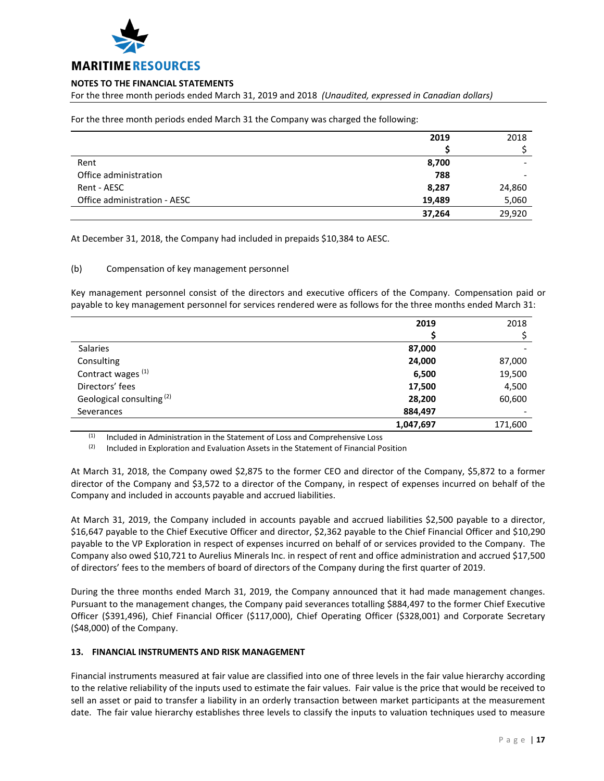

For the three month periods ended March 31, 2019 and 2018 *(Unaudited, expressed in Canadian dollars)*

For the three month periods ended March 31 the Company was charged the following:

|                              | 2019   | 2018   |
|------------------------------|--------|--------|
|                              |        |        |
| Rent                         | 8,700  |        |
| Office administration        | 788    |        |
| Rent - AESC                  | 8,287  | 24,860 |
| Office administration - AESC | 19,489 | 5,060  |
|                              | 37,264 | 29,920 |

At December 31, 2018, the Company had included in prepaids \$10,384 to AESC.

(b) Compensation of key management personnel

Key management personnel consist of the directors and executive officers of the Company. Compensation paid or payable to key management personnel for services rendered were as follows for the three months ended March 31:

|                                      | 2019      | 2018    |
|--------------------------------------|-----------|---------|
|                                      |           |         |
| Salaries                             | 87,000    |         |
| Consulting                           | 24,000    | 87,000  |
| Contract wages <sup>(1)</sup>        | 6,500     | 19,500  |
| Directors' fees                      | 17,500    | 4,500   |
| Geological consulting <sup>(2)</sup> | 28,200    | 60,600  |
| Severances                           | 884,497   |         |
|                                      | 1,047,697 | 171,600 |

 $(1)$  Included in Administration in the Statement of Loss and Comprehensive Loss

 $(2)$  Included in Exploration and Evaluation Assets in the Statement of Financial Position

At March 31, 2018, the Company owed \$2,875 to the former CEO and director of the Company, \$5,872 to a former director of the Company and \$3,572 to a director of the Company, in respect of expenses incurred on behalf of the Company and included in accounts payable and accrued liabilities.

At March 31, 2019, the Company included in accounts payable and accrued liabilities \$2,500 payable to a director, \$16,647 payable to the Chief Executive Officer and director, \$2,362 payable to the Chief Financial Officer and \$10,290 payable to the VP Exploration in respect of expenses incurred on behalf of or services provided to the Company. The Company also owed \$10,721 to Aurelius Minerals Inc. in respect of rent and office administration and accrued \$17,500 of directors' fees to the members of board of directors of the Company during the first quarter of 2019.

During the three months ended March 31, 2019, the Company announced that it had made management changes. Pursuant to the management changes, the Company paid severances totalling \$884,497 to the former Chief Executive Officer (\$391,496), Chief Financial Officer (\$117,000), Chief Operating Officer (\$328,001) and Corporate Secretary (\$48,000) of the Company.

# **13. FINANCIAL INSTRUMENTS AND RISK MANAGEMENT**

Financial instruments measured at fair value are classified into one of three levels in the fair value hierarchy according to the relative reliability of the inputs used to estimate the fair values. Fair value is the price that would be received to sell an asset or paid to transfer a liability in an orderly transaction between market participants at the measurement date. The fair value hierarchy establishes three levels to classify the inputs to valuation techniques used to measure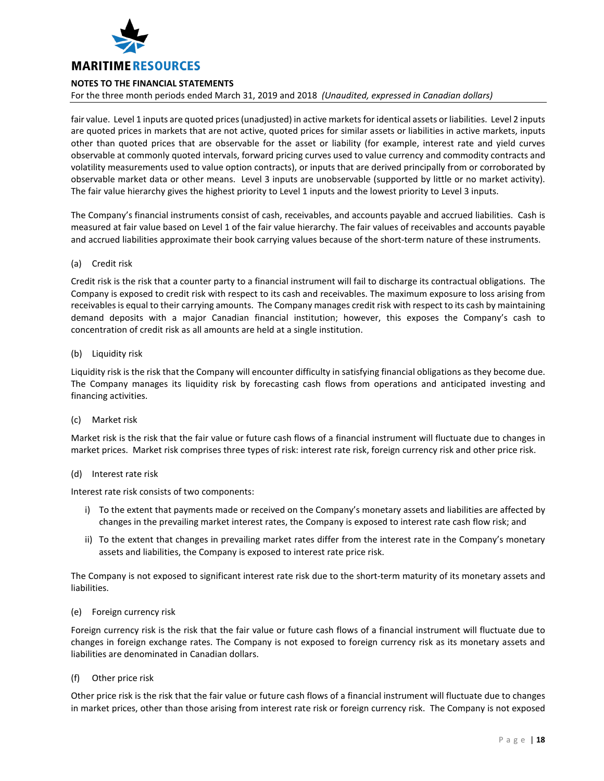

For the three month periods ended March 31, 2019 and 2018 *(Unaudited, expressed in Canadian dollars)*

fair value. Level 1 inputs are quoted prices (unadjusted) in active markets for identical assets or liabilities. Level 2 inputs are quoted prices in markets that are not active, quoted prices for similar assets or liabilities in active markets, inputs other than quoted prices that are observable for the asset or liability (for example, interest rate and yield curves observable at commonly quoted intervals, forward pricing curves used to value currency and commodity contracts and volatility measurements used to value option contracts), or inputs that are derived principally from or corroborated by observable market data or other means. Level 3 inputs are unobservable (supported by little or no market activity). The fair value hierarchy gives the highest priority to Level 1 inputs and the lowest priority to Level 3 inputs.

The Company's financial instruments consist of cash, receivables, and accounts payable and accrued liabilities. Cash is measured at fair value based on Level 1 of the fair value hierarchy. The fair values of receivables and accounts payable and accrued liabilities approximate their book carrying values because of the short-term nature of these instruments.

#### (a) Credit risk

Credit risk is the risk that a counter party to a financial instrument will fail to discharge its contractual obligations. The Company is exposed to credit risk with respect to its cash and receivables. The maximum exposure to loss arising from receivables is equal to their carrying amounts. The Company manages credit risk with respect to its cash by maintaining demand deposits with a major Canadian financial institution; however, this exposes the Company's cash to concentration of credit risk as all amounts are held at a single institution.

#### (b) Liquidity risk

Liquidity risk is the risk that the Company will encounter difficulty in satisfying financial obligations as they become due. The Company manages its liquidity risk by forecasting cash flows from operations and anticipated investing and financing activities.

#### (c) Market risk

Market risk is the risk that the fair value or future cash flows of a financial instrument will fluctuate due to changes in market prices. Market risk comprises three types of risk: interest rate risk, foreign currency risk and other price risk.

#### (d) Interest rate risk

Interest rate risk consists of two components:

- i) To the extent that payments made or received on the Company's monetary assets and liabilities are affected by changes in the prevailing market interest rates, the Company is exposed to interest rate cash flow risk; and
- ii) To the extent that changes in prevailing market rates differ from the interest rate in the Company's monetary assets and liabilities, the Company is exposed to interest rate price risk.

The Company is not exposed to significant interest rate risk due to the short-term maturity of its monetary assets and liabilities.

#### (e) Foreign currency risk

Foreign currency risk is the risk that the fair value or future cash flows of a financial instrument will fluctuate due to changes in foreign exchange rates. The Company is not exposed to foreign currency risk as its monetary assets and liabilities are denominated in Canadian dollars.

#### (f) Other price risk

Other price risk is the risk that the fair value or future cash flows of a financial instrument will fluctuate due to changes in market prices, other than those arising from interest rate risk or foreign currency risk. The Company is not exposed